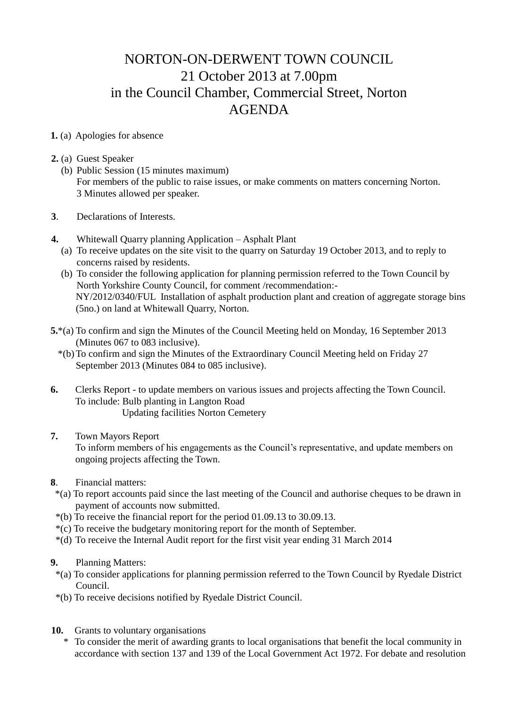## NORTON-ON-DERWENT TOWN COUNCIL 21 October 2013 at 7.00pm in the Council Chamber, Commercial Street, Norton AGENDA

## **1.** (a) Apologies for absence

- **2.** (a) Guest Speaker
	- (b) Public Session (15 minutes maximum) For members of the public to raise issues, or make comments on matters concerning Norton. 3 Minutes allowed per speaker.
- **3**. Declarations of Interests.
- **4.** Whitewall Quarry planning Application Asphalt Plant
	- (a) To receive updates on the site visit to the quarry on Saturday 19 October 2013, and to reply to concerns raised by residents.
	- (b) To consider the following application for planning permission referred to the Town Council by North Yorkshire County Council, for comment /recommendation:- NY/2012/0340/FUL Installation of asphalt production plant and creation of aggregate storage bins (5no.) on land at Whitewall Quarry, Norton.
- **5.**\*(a) To confirm and sign the Minutes of the Council Meeting held on Monday, 16 September 2013 (Minutes 067 to 083 inclusive).
	- \*(b)To confirm and sign the Minutes of the Extraordinary Council Meeting held on Friday 27 September 2013 (Minutes 084 to 085 inclusive).
- **6.** Clerks Report to update members on various issues and projects affecting the Town Council. To include: Bulb planting in Langton Road Updating facilities Norton Cemetery

## **7.** Town Mayors Report

 To inform members of his engagements as the Council's representative, and update members on ongoing projects affecting the Town.

- **8**. Financial matters:
- \*(a) To report accounts paid since the last meeting of the Council and authorise cheques to be drawn in payment of accounts now submitted.
- \*(b) To receive the financial report for the period 01.09.13 to 30.09.13.
- \*(c) To receive the budgetary monitoring report for the month of September.
- \*(d) To receive the Internal Audit report for the first visit year ending 31 March 2014

## **9.** Planning Matters:

- \*(a) To consider applications for planning permission referred to the Town Council by Ryedale District Council.
- \*(b) To receive decisions notified by Ryedale District Council.
- **10.** Grants to voluntary organisations
	- \* To consider the merit of awarding grants to local organisations that benefit the local community in accordance with section 137 and 139 of the Local Government Act 1972. For debate and resolution